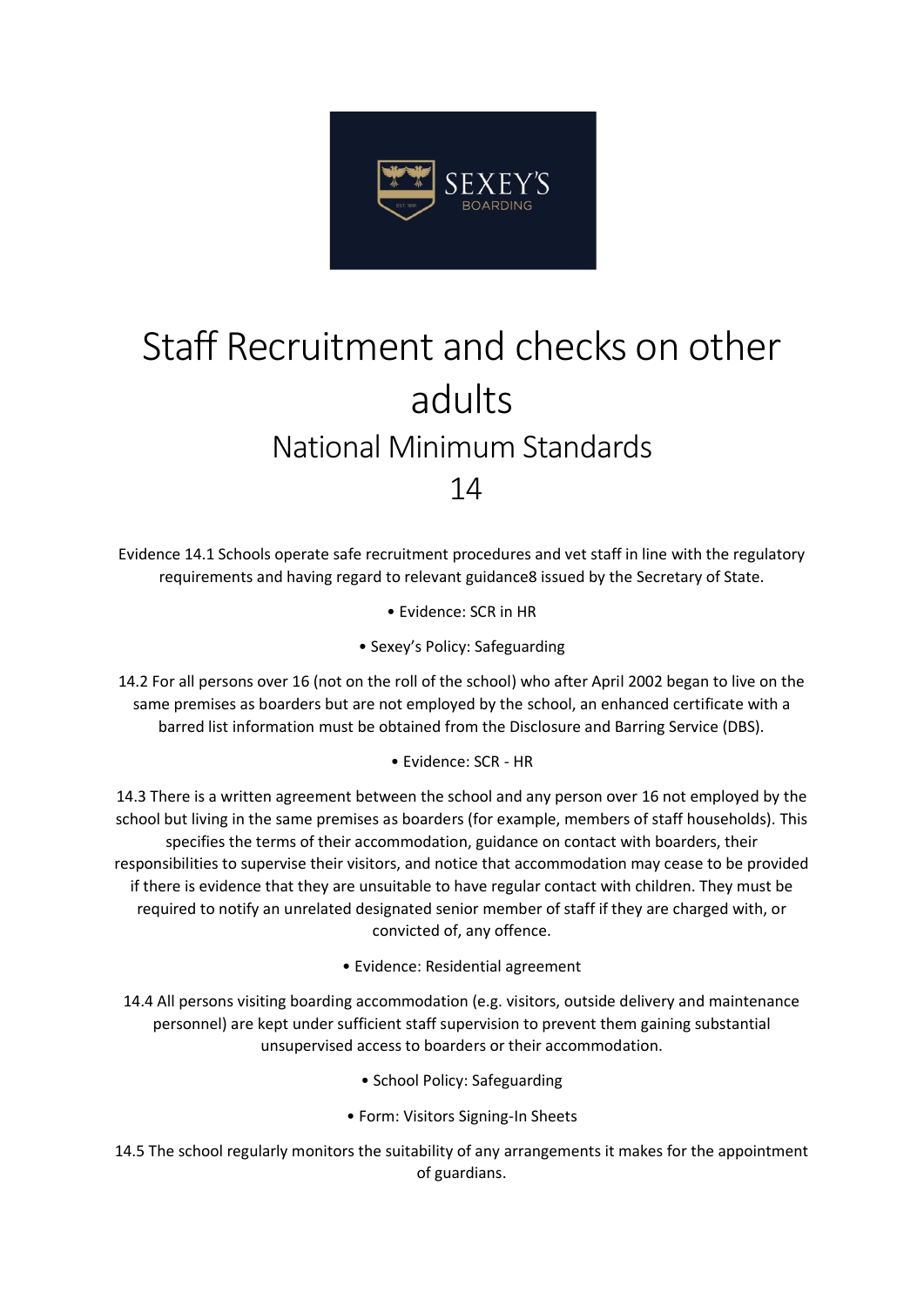

## Staff Recruitment and checks on other adults National Minimum Standards 14

Evidence 14.1 Schools operate safe recruitment procedures and vet staff in line with the regulatory requirements and having regard to relevant guidance8 issued by the Secretary of State.

• Evidence: SCR in HR

• Sexey's Policy: Safeguarding

14.2 For all persons over 16 (not on the roll of the school) who after April 2002 began to live on the same premises as boarders but are not employed by the school, an enhanced certificate with a barred list information must be obtained from the Disclosure and Barring Service (DBS).

• Evidence: SCR - HR

14.3 There is a written agreement between the school and any person over 16 not employed by the school but living in the same premises as boarders (for example, members of staff households). This specifies the terms of their accommodation, guidance on contact with boarders, their responsibilities to supervise their visitors, and notice that accommodation may cease to be provided if there is evidence that they are unsuitable to have regular contact with children. They must be required to notify an unrelated designated senior member of staff if they are charged with, or convicted of, any offence.

• Evidence: Residential agreement

14.4 All persons visiting boarding accommodation (e.g. visitors, outside delivery and maintenance personnel) are kept under sufficient staff supervision to prevent them gaining substantial unsupervised access to boarders or their accommodation.

- School Policy: Safeguarding
- Form: Visitors Signing-In Sheets
- 14.5 The school regularly monitors the suitability of any arrangements it makes for the appointment of guardians.